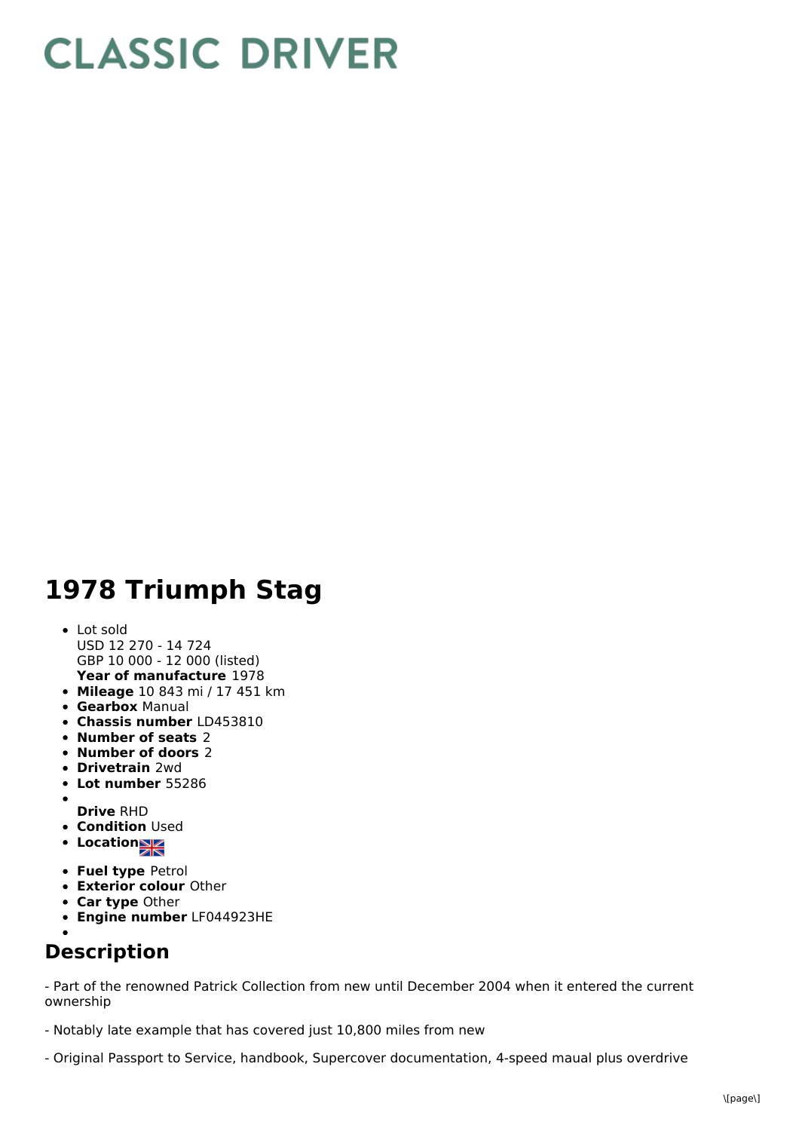## **CLASSIC DRIVER**

## **1978 Triumph Stag**

- **Year of manufacture** 1978 Lot sold USD 12 270 - 14 724 GBP 10 000 - 12 000 (listed)
- **Mileage** 10 843 mi / 17 451 km
- **Gearbox** Manual
- **Chassis number** LD453810
- **Number of seats** 2
- **Number of doors** 2
- **Drivetrain** 2wd
- **Lot number** 55286
- $\bullet$ **Drive** RHD
- **Condition Used**
- **Location**
- **Fuel type** Petrol
- **Exterior colour** Other
- **Car type** Other
- **Engine number** LF044923HE
- 

## **Description**

- Part of the renowned Patrick Collection from new until December 2004 when it entered the current ownership

- Notably late example that has covered just 10,800 miles from new

- Original Passport to Service, handbook, Supercover documentation, 4-speed maual plus overdrive